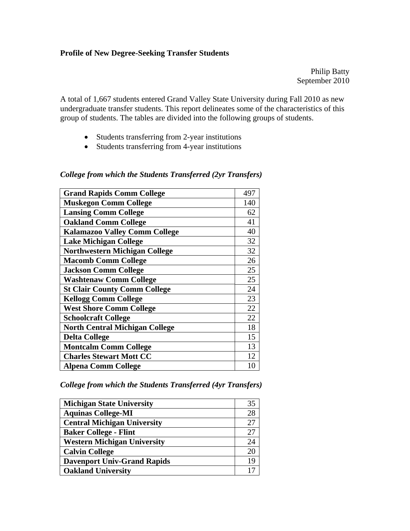#### **Profile of New Degree-Seeking Transfer Students**

Philip Batty September 2010

A total of 1,667 students entered Grand Valley State University during Fall 2010 as new undergraduate transfer students. This report delineates some of the characteristics of this group of students. The tables are divided into the following groups of students.

- Students transferring from 2-year institutions
- Students transferring from 4-year institutions

| <b>Grand Rapids Comm College</b>      | 497 |
|---------------------------------------|-----|
| <b>Muskegon Comm College</b>          | 140 |
| <b>Lansing Comm College</b>           | 62  |
| <b>Oakland Comm College</b>           | 41  |
| <b>Kalamazoo Valley Comm College</b>  | 40  |
| <b>Lake Michigan College</b>          | 32  |
| <b>Northwestern Michigan College</b>  | 32  |
| <b>Macomb Comm College</b>            | 26  |
| <b>Jackson Comm College</b>           | 25  |
| <b>Washtenaw Comm College</b>         | 25  |
| <b>St Clair County Comm College</b>   | 24  |
| <b>Kellogg Comm College</b>           | 23  |
| <b>West Shore Comm College</b>        | 22  |
| <b>Schoolcraft College</b>            | 22  |
| <b>North Central Michigan College</b> | 18  |
| <b>Delta College</b>                  | 15  |
| <b>Montcalm Comm College</b>          | 13  |
| <b>Charles Stewart Mott CC</b>        | 12  |
| <b>Alpena Comm College</b>            | 10  |

#### *College from which the Students Transferred (2yr Transfers)*

*College from which the Students Transferred (4yr Transfers)* 

| <b>Michigan State University</b>   | 35 |
|------------------------------------|----|
| <b>Aquinas College-MI</b>          | 28 |
| <b>Central Michigan University</b> |    |
| <b>Baker College - Flint</b>       | 27 |
| <b>Western Michigan University</b> | 24 |
| <b>Calvin College</b>              | 20 |
| <b>Davenport Univ-Grand Rapids</b> | 19 |
| <b>Oakland University</b>          |    |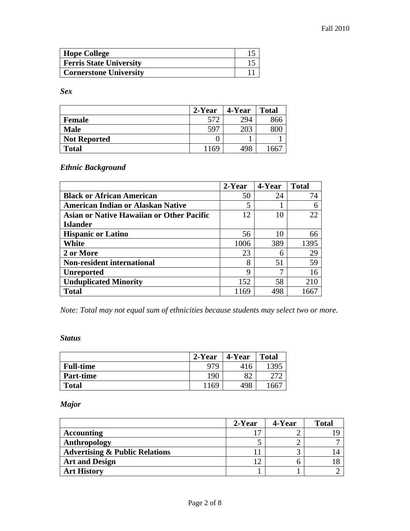| <b>Hope College</b>            |  |
|--------------------------------|--|
| <b>Ferris State University</b> |  |
| <b>Cornerstone University</b>  |  |

*Sex* 

|                     | 2-Year | 4-Year | <b>Total</b> |
|---------------------|--------|--------|--------------|
| <b>Female</b>       | 572    | 294    | 866          |
| <b>Male</b>         | 597    | 203    |              |
| <b>Not Reported</b> |        |        |              |
| <b>Total</b>        | 1169   | 498    | 66           |

*Ethnic Background* 

|                                                  | 2-Year | 4-Year | <b>Total</b> |
|--------------------------------------------------|--------|--------|--------------|
| <b>Black or African American</b>                 | 50     | 24     | 74           |
| <b>American Indian or Alaskan Native</b>         | 5      |        |              |
| <b>Asian or Native Hawaiian or Other Pacific</b> | 12     | 10     | 22           |
| <b>Islander</b>                                  |        |        |              |
| <b>Hispanic or Latino</b>                        | 56     | 10     | 66           |
| White                                            | 1006   | 389    | 1395         |
| 2 or More                                        | 23     | 6      | 29           |
| <b>Non-resident international</b>                | 8      | 51     | 59           |
| <b>Unreported</b>                                | 9      |        | 16           |
| <b>Unduplicated Minority</b>                     | 152    | 58     | 210          |
| <b>Total</b>                                     | 1169   | 498    |              |

*Note: Total may not equal sum of ethnicities because students may select two or more.* 

#### *Status*

|                  | 2-Year<br>4-Year |     | <b>Total</b> |
|------------------|------------------|-----|--------------|
| <b>Full-time</b> | 979              | 416 | 1395         |
| <b>Part-time</b> | 190              | 82  |              |
| <b>Total</b>     | 1169             | 498 | 66           |

*Major* 

|                                           | 2-Year | 4-Year | <b>Total</b> |
|-------------------------------------------|--------|--------|--------------|
| <b>Accounting</b>                         |        |        |              |
| Anthropology                              |        |        |              |
| <b>Advertising &amp; Public Relations</b> |        |        |              |
| <b>Art and Design</b>                     |        |        |              |
| <b>Art History</b>                        |        |        |              |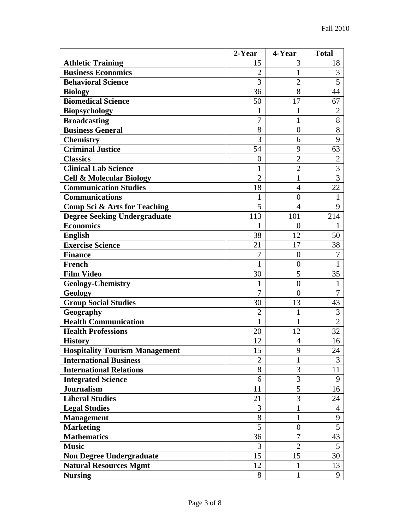|                                         | 2-Year         | 4-Year           | <b>Total</b>   |
|-----------------------------------------|----------------|------------------|----------------|
| <b>Athletic Training</b>                | 15             | 3                | 18             |
| <b>Business Economics</b>               | $\overline{2}$ | 1                | 3              |
| <b>Behavioral Science</b>               | 3              | $\overline{2}$   | 5              |
| <b>Biology</b>                          | 36             | 8                | 44             |
| <b>Biomedical Science</b>               | 50             | 17               | 67             |
| <b>Biopsychology</b>                    | 1              | 1                | $\overline{2}$ |
| <b>Broadcasting</b>                     | $\overline{7}$ | $\mathbf{1}$     | 8              |
| <b>Business General</b>                 | 8              | $\overline{0}$   | 8              |
| <b>Chemistry</b>                        | 3              | 6                | 9              |
| <b>Criminal Justice</b>                 | 54             | 9                | 63             |
| <b>Classics</b>                         | $\overline{0}$ | $\overline{2}$   | $\mathbf{2}$   |
| <b>Clinical Lab Science</b>             | 1              | $\overline{2}$   | 3              |
| <b>Cell &amp; Molecular Biology</b>     | $\overline{2}$ | 1                | $\overline{3}$ |
| <b>Communication Studies</b>            | 18             | 4                | 22             |
| <b>Communications</b>                   |                | $\overline{0}$   | 1              |
| <b>Comp Sci &amp; Arts for Teaching</b> | 5              | 4                | 9              |
| <b>Degree Seeking Undergraduate</b>     | 113            | 101              | 214            |
| <b>Economics</b>                        | 1              | $\boldsymbol{0}$ | 1              |
| <b>English</b>                          | 38             | 12               | 50             |
| <b>Exercise Science</b>                 | 21             | 17               | 38             |
| <b>Finance</b>                          | 7              | $\boldsymbol{0}$ | 7              |
| <b>French</b>                           | 1              | $\boldsymbol{0}$ | 1              |
| <b>Film Video</b>                       | 30             | 5                | 35             |
| <b>Geology-Chemistry</b>                | 1              | $\overline{0}$   | 1              |
| <b>Geology</b>                          | $\overline{7}$ | $\overline{0}$   | $\overline{7}$ |
| <b>Group Social Studies</b>             | 30             | 13               | 43             |
| Geography                               | $\overline{2}$ | 1                | 3              |
| <b>Health Communication</b>             | 1              | 1                | $\overline{2}$ |
| <b>Health Professions</b>               | 20             | 12               | 32             |
| <b>History</b>                          | 12             | $\overline{4}$   | 16             |
| <b>Hospitality Tourism Management</b>   | 15             | 9                | 24             |
| <b>International Business</b>           | $\overline{2}$ | 1                | 3              |
| <b>International Relations</b>          | 8              | 3                | 11             |
| <b>Integrated Science</b>               | 6              | 3                | 9              |
| <b>Journalism</b>                       | 11             | 5                | 16             |
| <b>Liberal Studies</b>                  | 21             | 3                | 24             |
| <b>Legal Studies</b>                    | 3              | 1                | 4              |
| <b>Management</b>                       | 8              | 1                | 9              |
| <b>Marketing</b>                        | 5              | $\boldsymbol{0}$ | 5              |
| <b>Mathematics</b>                      | 36             | 7                | 43             |
| <b>Music</b>                            | 3              | $\overline{2}$   | 5              |
| <b>Non Degree Undergraduate</b>         | 15             | 15               | 30             |
| <b>Natural Resources Mgmt</b>           | 12             | 1                | 13             |
| <b>Nursing</b>                          | 8              | 1                | 9              |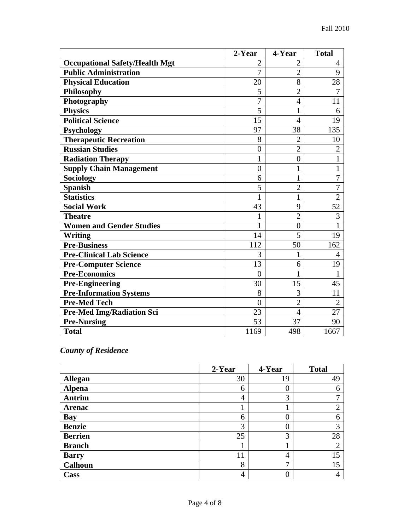|                                       | 2-Year         | 4-Year         | <b>Total</b>   |
|---------------------------------------|----------------|----------------|----------------|
| <b>Occupational Safety/Health Mgt</b> | $\overline{2}$ | $\overline{2}$ | 4              |
| <b>Public Administration</b>          | $\overline{7}$ | $\overline{2}$ | 9              |
| <b>Physical Education</b>             | 20             | 8              | 28             |
| <b>Philosophy</b>                     | 5              | $\overline{2}$ | 7              |
| Photography                           | 7              | 4              | 11             |
| <b>Physics</b>                        | 5              | 1              | 6              |
| <b>Political Science</b>              | 15             | 4              | 19             |
| <b>Psychology</b>                     | 97             | 38             | 135            |
| <b>Therapeutic Recreation</b>         | 8              | $\overline{2}$ | 10             |
| <b>Russian Studies</b>                | $\overline{0}$ | $\overline{2}$ | $\overline{2}$ |
| <b>Radiation Therapy</b>              | $\mathbf{1}$   | $\overline{0}$ | $\mathbf{1}$   |
| <b>Supply Chain Management</b>        | $\overline{0}$ | 1              | $\mathbf{1}$   |
| <b>Sociology</b>                      | 6              | 1              | $\overline{7}$ |
| <b>Spanish</b>                        | 5              | $\overline{2}$ | $\overline{7}$ |
| <b>Statistics</b>                     | 1              | 1              | $\overline{2}$ |
| <b>Social Work</b>                    | 43             | 9              | 52             |
| <b>Theatre</b>                        | 1              | $\overline{2}$ | 3              |
| <b>Women and Gender Studies</b>       | $\mathbf{1}$   | $\overline{0}$ | $\mathbf{1}$   |
| <b>Writing</b>                        | 14             | 5              | 19             |
| <b>Pre-Business</b>                   | 112            | 50             | 162            |
| <b>Pre-Clinical Lab Science</b>       | 3              | $\mathbf{1}$   | 4              |
| <b>Pre-Computer Science</b>           | 13             | 6              | 19             |
| <b>Pre-Economics</b>                  | $\theta$       | 1              | 1              |
| <b>Pre-Engineering</b>                | 30             | 15             | 45             |
| <b>Pre-Information Systems</b>        | 8              | 3              | 11             |
| <b>Pre-Med Tech</b>                   | $\overline{0}$ | $\overline{2}$ | $\overline{2}$ |
| <b>Pre-Med Img/Radiation Sci</b>      | 23             | 4              | 27             |
| <b>Pre-Nursing</b>                    | 53             | 37             | 90             |
| <b>Total</b>                          | 1169           | 498            | 1667           |

## *County of Residence*

|                | 2-Year         | 4-Year | <b>Total</b> |
|----------------|----------------|--------|--------------|
| <b>Allegan</b> | 30             | 19     | 49           |
| <b>Alpena</b>  | 6              | 0      | 6            |
| <b>Antrim</b>  | 4              | 3      |              |
| <b>Arenac</b>  |                |        | ⌒<br>∠       |
| <b>Bay</b>     | 6              |        | 6            |
| <b>Benzie</b>  | 3              |        | 3            |
| <b>Berrien</b> | 25             | 3      | 28           |
| <b>Branch</b>  |                |        | ⌒            |
| <b>Barry</b>   | 11             | 4      | 15           |
| <b>Calhoun</b> | 8              | ┑      | 15           |
| Cass           | $\overline{4}$ |        |              |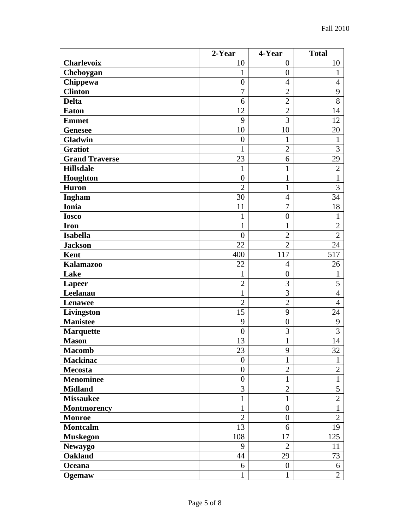|                       | 2-Year           | 4-Year           | <b>Total</b>   |
|-----------------------|------------------|------------------|----------------|
| <b>Charlevoix</b>     | 10               | $\boldsymbol{0}$ | 10             |
| Cheboygan             | 1                | $\overline{0}$   | 1              |
| Chippewa              | $\overline{0}$   | $\overline{4}$   | $\overline{4}$ |
| <b>Clinton</b>        | $\overline{7}$   | $\overline{2}$   | 9              |
| <b>Delta</b>          | 6                | $\overline{2}$   | 8              |
| <b>Eaton</b>          | 12               | $\overline{2}$   | 14             |
| <b>Emmet</b>          | 9                | 3                | 12             |
| <b>Genesee</b>        | 10               | 10               | 20             |
| <b>Gladwin</b>        | $\boldsymbol{0}$ | $\mathbf{1}$     | $\mathbf{1}$   |
| <b>Gratiot</b>        | $\mathbf 1$      | $\overline{2}$   | 3              |
| <b>Grand Traverse</b> | 23               | 6                | 29             |
| <b>Hillsdale</b>      | $\mathbf{1}$     | $\mathbf{1}$     | $\overline{2}$ |
| Houghton              | $\boldsymbol{0}$ | $\mathbf{1}$     | $\mathbf{1}$   |
| <b>Huron</b>          | $\overline{2}$   | $\mathbf{1}$     | 3              |
| Ingham                | 30               | $\overline{4}$   | 34             |
| <b>Ionia</b>          | 11               | $\overline{7}$   | 18             |
| <b>Iosco</b>          | $\mathbf{1}$     | $\boldsymbol{0}$ | $\mathbf{1}$   |
| <b>Iron</b>           | $\mathbf{1}$     | $\mathbf{1}$     | $\overline{2}$ |
| <b>Isabella</b>       | $\overline{0}$   | $\overline{2}$   | $\overline{2}$ |
| <b>Jackson</b>        | 22               | $\overline{2}$   | 24             |
| <b>Kent</b>           | 400              | 117              | 517            |
| <b>Kalamazoo</b>      | 22               | $\overline{4}$   | 26             |
| Lake                  | 1                | $\boldsymbol{0}$ | 1              |
| <b>Lapeer</b>         | $\mathfrak{2}$   | 3                | 5              |
| Leelanau              | 1                | 3                | $\overline{4}$ |
| Lenawee               | $\overline{2}$   | $\overline{2}$   | 4              |
| Livingston            | 15               | 9                | 24             |
| <b>Manistee</b>       | 9                | $\overline{0}$   | 9              |
| <b>Marquette</b>      | $\boldsymbol{0}$ | 3                | 3              |
| <b>Mason</b>          | 13               | 1                | 14             |
| <b>Macomb</b>         | $\overline{23}$  | 9                | 32             |
| <b>Mackinac</b>       | $\overline{0}$   | 1                | 1              |
| <b>Mecosta</b>        | $\overline{0}$   | $\overline{2}$   | $\overline{2}$ |
| <b>Menominee</b>      | $\boldsymbol{0}$ | $\mathbf{1}$     | $\mathbf{1}$   |
| <b>Midland</b>        | 3                | $\overline{2}$   | 5              |
| <b>Missaukee</b>      | 1                | $\mathbf{1}$     | $\overline{2}$ |
| Montmorency           | 1                | $\overline{0}$   | $\mathbf{1}$   |
| <b>Monroe</b>         | $\overline{2}$   | $\overline{0}$   | $\overline{2}$ |
| <b>Montcalm</b>       | 13               | 6                | 19             |
| <b>Muskegon</b>       | 108              | 17               | 125            |
| <b>Newaygo</b>        | 9                | $\overline{2}$   | 11             |
| <b>Oakland</b>        | 44               | 29               | 73             |
| Oceana                | 6                | $\boldsymbol{0}$ | 6              |
| Ogemaw                | 1                | 1                | $\mathbf{2}$   |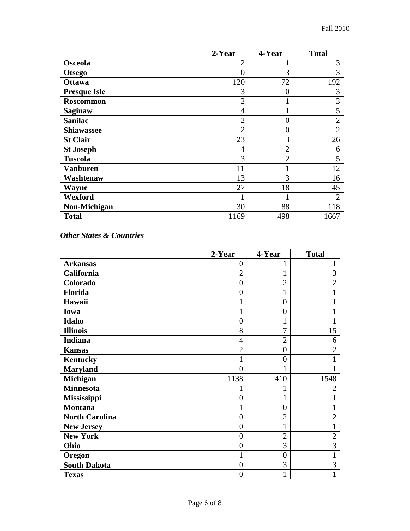|                     | 2-Year         | 4-Year         | <b>Total</b>   |
|---------------------|----------------|----------------|----------------|
| <b>Osceola</b>      | $\overline{2}$ |                | 3              |
| <b>Otsego</b>       | 0              | 3              | 3              |
| <b>Ottawa</b>       | 120            | 72             | 192            |
| <b>Presque Isle</b> | 3              | 0              | 3              |
| <b>Roscommon</b>    | $\overline{2}$ |                | 3              |
| <b>Saginaw</b>      | 4              |                | 5              |
| <b>Sanilac</b>      | $\overline{2}$ | $\overline{0}$ | $\overline{2}$ |
| <b>Shiawassee</b>   | $\overline{2}$ | $\overline{0}$ | $\overline{2}$ |
| <b>St Clair</b>     | 23             | 3              | 26             |
| <b>St Joseph</b>    | 4              | $\overline{2}$ | 6              |
| <b>Tuscola</b>      | 3              | $\overline{2}$ | 5              |
| <b>Vanburen</b>     | 11             |                | 12             |
| Washtenaw           | 13             | 3              | 16             |
| <b>Wayne</b>        | 27             | 18             | 45             |
| Wexford             |                |                | $\overline{2}$ |
| Non-Michigan        | 30             | 88             | 118            |
| <b>Total</b>        | 1169           | 498            | 1667           |

*Other States & Countries* 

|                       | 2-Year           | 4-Year           | <b>Total</b>   |
|-----------------------|------------------|------------------|----------------|
| <b>Arkansas</b>       | $\overline{0}$   |                  |                |
| California            | $\overline{2}$   | $\mathbf{1}$     | 3              |
| Colorado              | $\overline{0}$   | $\overline{2}$   | $\overline{2}$ |
| Florida               | $\overline{0}$   | $\mathbf{1}$     |                |
| Hawaii                | 1                | $\overline{0}$   |                |
| Iowa                  | 1                | $\boldsymbol{0}$ |                |
| Idaho                 | $\overline{0}$   | $\mathbf 1$      |                |
| <b>Illinois</b>       | 8                | 7                | 15             |
| <b>Indiana</b>        | $\overline{4}$   | $\overline{2}$   | 6              |
| <b>Kansas</b>         | $\overline{2}$   | $\overline{0}$   | $\overline{2}$ |
| <b>Kentucky</b>       | 1                | $\overline{0}$   |                |
| <b>Maryland</b>       | $\theta$         |                  |                |
| Michigan              | 1138             | 410              | 1548           |
| <b>Minnesota</b>      |                  |                  | 2              |
| Mississippi           | $\overline{0}$   | 1                |                |
| <b>Montana</b>        | 1                | $\overline{0}$   |                |
| <b>North Carolina</b> | $\overline{0}$   | $\overline{2}$   | $\overline{2}$ |
| <b>New Jersey</b>     | $\overline{0}$   | $\mathbf{1}$     |                |
| <b>New York</b>       | $\overline{0}$   | $\overline{2}$   | $\overline{2}$ |
| Ohio                  | $\boldsymbol{0}$ | 3                | 3              |
| Oregon                | $\mathbf{1}$     | $\overline{0}$   |                |
| <b>South Dakota</b>   | $\overline{0}$   | 3                | 3              |
| <b>Texas</b>          | $\overline{0}$   | $\mathbf{1}$     |                |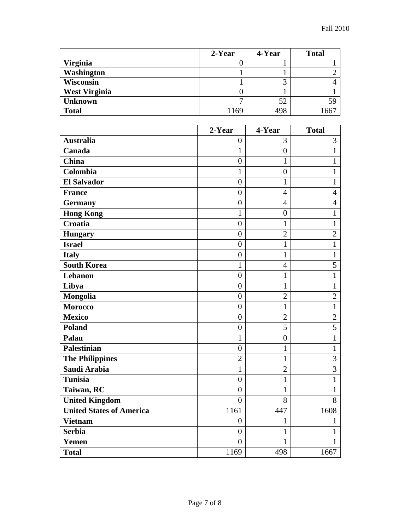|                      | 2-Year | 4-Year | <b>Total</b> |
|----------------------|--------|--------|--------------|
| <b>Virginia</b>      |        |        |              |
| <b>Washington</b>    |        |        |              |
| <b>Wisconsin</b>     |        |        |              |
| <b>West Virginia</b> | U      |        |              |
| <b>Unknown</b>       | −      | 52     | 59           |
| <b>Total</b>         | 169    | 498    | .667         |

|                                 | 2-Year           | 4-Year           | <b>Total</b>   |
|---------------------------------|------------------|------------------|----------------|
| <b>Australia</b>                | $\overline{0}$   | 3                | 3              |
| Canada                          | $\mathbf{1}$     | $\boldsymbol{0}$ | $\mathbf{1}$   |
| <b>China</b>                    | $\overline{0}$   | $\mathbf{1}$     | $\mathbf{1}$   |
| Colombia                        | $\mathbf{1}$     | $\overline{0}$   | $\mathbf{1}$   |
| <b>El Salvador</b>              | $\boldsymbol{0}$ | $\mathbf{1}$     | $\mathbf{1}$   |
| <b>France</b>                   | $\overline{0}$   | $\overline{4}$   | $\overline{4}$ |
| <b>Germany</b>                  | $\overline{0}$   | $\overline{4}$   | $\overline{4}$ |
| <b>Hong Kong</b>                | $\mathbf{1}$     | $\boldsymbol{0}$ | $\mathbf{1}$   |
| Croatia                         | $\overline{0}$   | $\mathbf{1}$     | $\mathbf{1}$   |
| <b>Hungary</b>                  | $\overline{0}$   | $\overline{2}$   | $\overline{2}$ |
| <b>Israel</b>                   | $\overline{0}$   | $\mathbf{1}$     | $\mathbf{1}$   |
| <b>Italy</b>                    | $\overline{0}$   | $\mathbf{1}$     | $\mathbf{1}$   |
| <b>South Korea</b>              | $\mathbf{1}$     | $\overline{4}$   | 5              |
| Lebanon                         | $\overline{0}$   | $\mathbf{1}$     | $\mathbf{1}$   |
| Libya                           | $\overline{0}$   | $\mathbf{1}$     | $\mathbf{1}$   |
| Mongolia                        | $\overline{0}$   | $\overline{2}$   | $\overline{2}$ |
| <b>Morocco</b>                  | $\overline{0}$   | $\mathbf{1}$     | $\mathbf{1}$   |
| <b>Mexico</b>                   | $\overline{0}$   | $\overline{2}$   | $\overline{2}$ |
| <b>Poland</b>                   | $\overline{0}$   | $\overline{5}$   | $\overline{5}$ |
| Palau                           | $\mathbf{1}$     | $\boldsymbol{0}$ | $\mathbf{1}$   |
| <b>Palestinian</b>              | $\overline{0}$   | $\mathbf{1}$     | $\mathbf{1}$   |
| <b>The Philippines</b>          | $\overline{2}$   | $\mathbf{1}$     | $\overline{3}$ |
| Saudi Arabia                    | $\mathbf{1}$     | $\overline{2}$   | $\overline{3}$ |
| <b>Tunisia</b>                  | $\overline{0}$   | $\mathbf{1}$     | $\mathbf{1}$   |
| Taiwan, RC                      | $\overline{0}$   | $\mathbf{1}$     | $\mathbf{1}$   |
| <b>United Kingdom</b>           | $\overline{0}$   | 8                | 8              |
| <b>United States of America</b> | 1161             | 447              | 1608           |
| <b>Vietnam</b>                  | $\overline{0}$   | $\mathbf{1}$     | 1              |
| <b>Serbia</b>                   | $\boldsymbol{0}$ | $\mathbf 1$      | 1              |
| Yemen                           | $\overline{0}$   | $\mathbf{1}$     | 1              |
| <b>Total</b>                    | 1169             | 498              | 1667           |